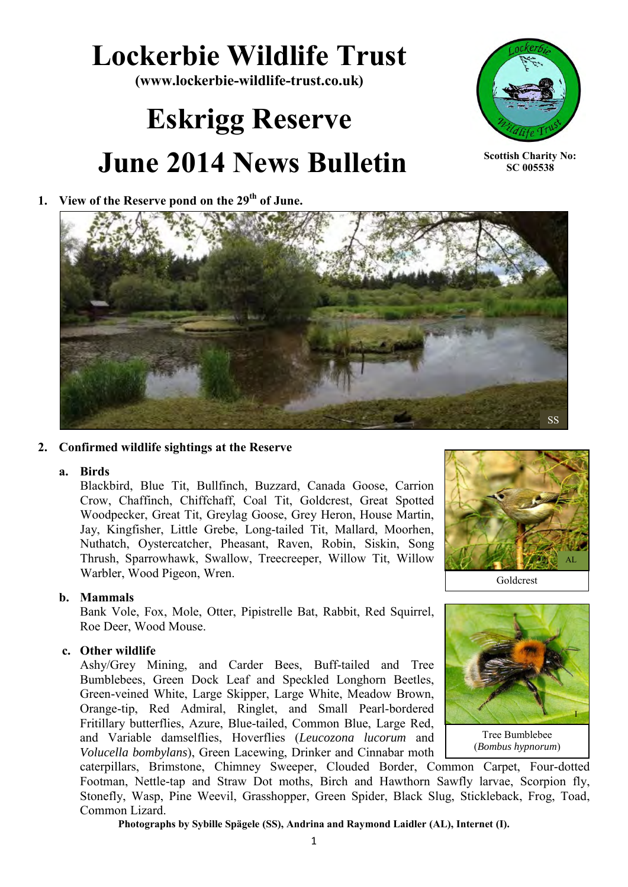## **Lockerbie Wildlife Trust**

**(www.lockerbie-wildlife-trust.co.uk)** 

# **Eskrigg Reserve June 2014 News Bulletin**

#### **1. View of the Reserve pond on the 29th of June.**



**Scottish Charity No: SC 005538**



#### **2. Confirmed wildlife sightings at the Reserve**

#### **a. Birds**

Blackbird, Blue Tit, Bullfinch, Buzzard, Canada Goose, Carrion Crow, Chaffinch, Chiffchaff, Coal Tit, Goldcrest, Great Spotted Woodpecker, Great Tit, Greylag Goose, Grey Heron, House Martin, Jay, Kingfisher, Little Grebe, Long-tailed Tit, Mallard, Moorhen, Nuthatch, Oystercatcher, Pheasant, Raven, Robin, Siskin, Song Thrush, Sparrowhawk, Swallow, Treecreeper, Willow Tit, Willow Warbler, Wood Pigeon, Wren.

#### **b. Mammals**

Bank Vole, Fox, Mole, Otter, Pipistrelle Bat, Rabbit, Red Squirrel, Roe Deer, Wood Mouse.

#### **c. Other wildlife**

Ashy/Grey Mining, and Carder Bees, Buff-tailed and Tree Bumblebees, Green Dock Leaf and Speckled Longhorn Beetles, Green-veined White, Large Skipper, Large White, Meadow Brown, Orange-tip, Red Admiral, Ringlet, and Small Pearl-bordered Fritillary butterflies, Azure, Blue-tailed, Common Blue, Large Red, and Variable damselflies, Hoverflies (*Leucozona lucorum* and *Volucella bombylans*), Green Lacewing, Drinker and Cinnabar moth



Goldcrest



Tree Bumblebee (*Bombus hypnorum*)

caterpillars, Brimstone, Chimney Sweeper, Clouded Border, Common Carpet, Four-dotted Footman, Nettle-tap and Straw Dot moths, Birch and Hawthorn Sawfly larvae, Scorpion fly, Stonefly, Wasp, Pine Weevil, Grasshopper, Green Spider, Black Slug, Stickleback, Frog, Toad, Common Lizard.

**Photographs by Sybille Spägele (SS), Andrina and Raymond Laidler (AL), Internet (I).**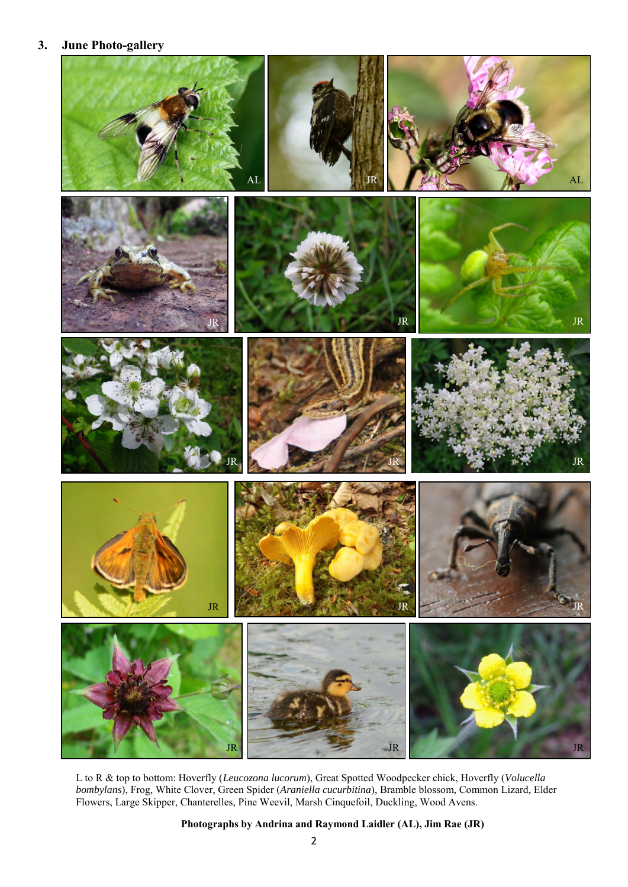#### **3. June Photo-gallery**



L to R & top to bottom: Hoverfly (*Leucozona lucorum*), Great Spotted Woodpecker chick, Hoverfly (*Volucella bombylans*), Frog, White Clover, Green Spider (*Araniella cucurbitina*), Bramble blossom, Common Lizard, Elder Flowers, Large Skipper, Chanterelles, Pine Weevil, Marsh Cinquefoil, Duckling, Wood Avens.

**Photographs by Andrina and Raymond Laidler (AL), Jim Rae (JR)**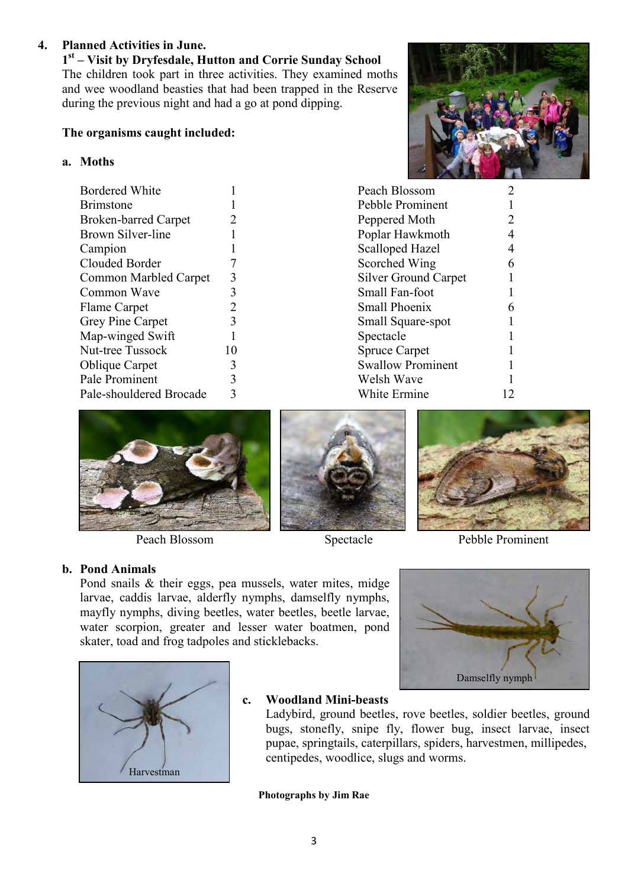#### **4. Planned Activities in June.**

**1 st – Visit by Dryfesdale, Hutton and Corrie Sunday School**  The children took part in three activities. They examined moths and wee woodland beasties that had been trapped in the Reserve during the previous night and had a go at pond dipping.

### **The organisms caught included:**

#### **a. Moths**

| <b>Bordered White</b>        |                |
|------------------------------|----------------|
| <b>Brimstone</b>             |                |
| <b>Broken-barred Carpet</b>  | 2              |
| Brown Silver-line            |                |
| Campion                      |                |
| Clouded Border               |                |
| <b>Common Marbled Carpet</b> | 3              |
| Common Wave                  | 3              |
| Flame Carpet                 | $\overline{2}$ |
| Grey Pine Carpet             | 3              |
| Map-winged Swift             |                |
| Nut-tree Tussock             | 10             |
| <b>Oblique Carpet</b>        | 3              |
| Pale Prominent               | 3              |
| Pale-shouldered Brocade      |                |



| 2 |
|---|
|   |
| 4 |
|   |
|   |
|   |
|   |
|   |
|   |
|   |
|   |
|   |
|   |
|   |



#### **b. Pond Animals**

Pond snails & their eggs, pea mussels, water mites, midge larvae, caddis larvae, alderfly nymphs, damselfly nymphs, mayfly nymphs, diving beetles, water beetles, beetle larvae, water scorpion, greater and lesser water boatmen, pond skater, toad and frog tadpoles and sticklebacks.





Peach Blossom Spectacle Pebble Prominent

Damselfly nymph



#### **c. Woodland Mini-beasts**

Ladybird, ground beetles, rove beetles, soldier beetles, ground bugs, stonefly, snipe fly, flower bug, insect larvae, insect pupae, springtails, caterpillars, spiders, harvestmen, millipedes, centipedes, woodlice, slugs and worms.

**Photographs by Jim Rae**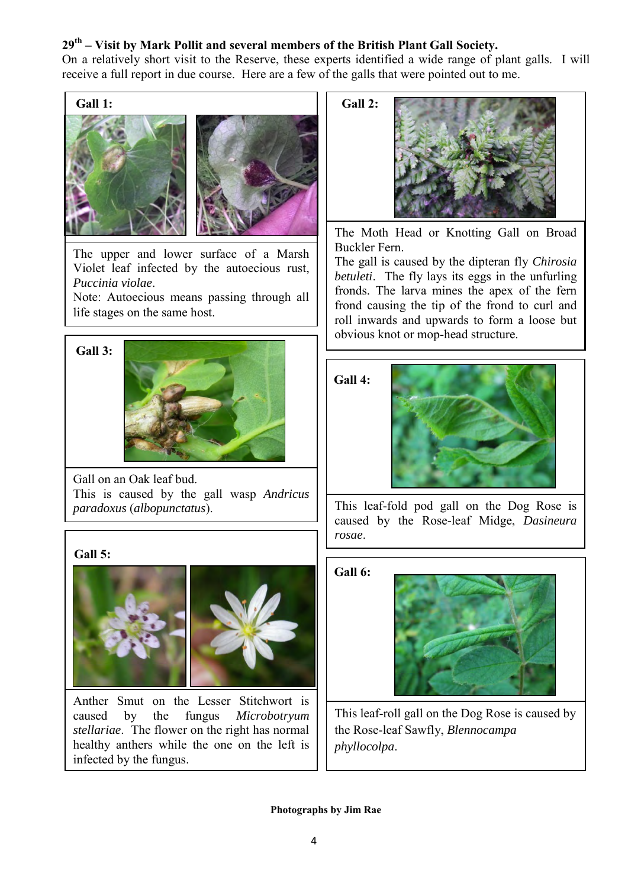#### **29th – Visit by Mark Pollit and several members of the British Plant Gall Society.**

On a relatively short visit to the Reserve, these experts identified a wide range of plant galls. I will receive a full report in due course. Here are a few of the galls that were pointed out to me.



The upper and lower surface of a Marsh Violet leaf infected by the autoecious rust, *Puccinia violae*.

Note: Autoecious means passing through all life stages on the same host.



Gall on an Oak leaf bud. This is caused by the gall wasp *Andricus* 

#### **Gall 5:**



Anther Smut on the Lesser Stitchwort is caused by the fungus *Microbotryum stellariae*. The flower on the right has normal healthy anthers while the one on the left is infected by the fungus.

The Moth Head or Knotting Gall on Broad Buckler Fern.

The gall is caused by the dipteran fly *Chirosia betuleti*. The fly lays its eggs in the unfurling fronds. The larva mines the apex of the fern frond causing the tip of the frond to curl and roll inwards and upwards to form a loose but obvious knot or mop-head structure.

**Gall 4:**



*paradoxus* (*albopunctatus*). This leaf-fold pod gall on the Dog Rose is caused by the Rose-leaf Midge, *Dasineura rosae*.

#### **Gall 6:**



This leaf-roll gall on the Dog Rose is caused by the Rose-leaf Sawfly, *Blennocampa phyllocolpa*.

**Photographs by Jim Rae**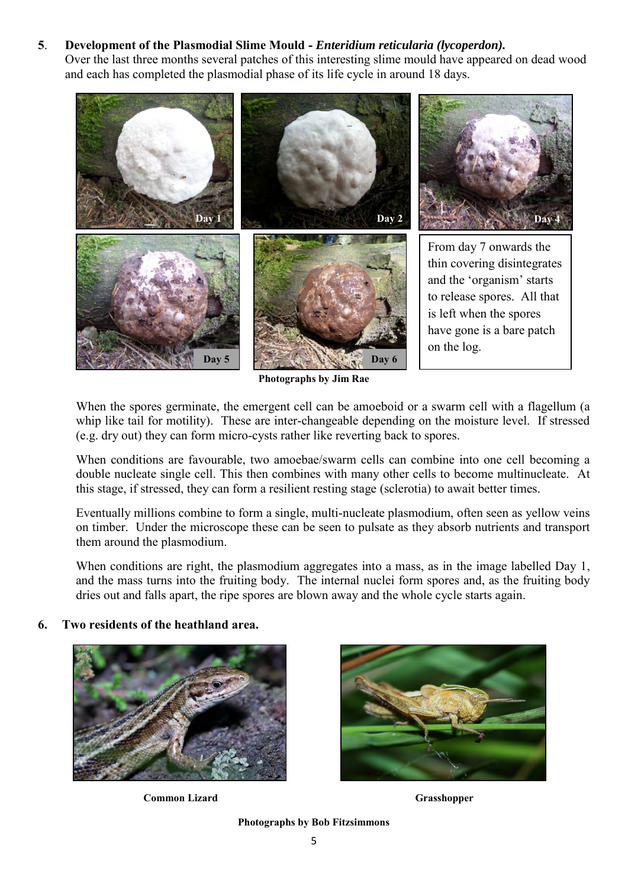#### **5**. **Development of the Plasmodial Slime Mould -** *Enteridium reticularia (lycoperdon).*

Over the last three months several patches of this interesting slime mould have appeared on dead wood and each has completed the plasmodial phase of its life cycle in around 18 days.



**Photographs by Jim Rae** 

When the spores germinate, the emergent cell can be amoeboid or a swarm cell with a flagellum (a whip like tail for motility). These are inter-changeable depending on the moisture level. If stressed (e.g. dry out) they can form micro-cysts rather like reverting back to spores.

When conditions are favourable, two amoebae/swarm cells can combine into one cell becoming a double nucleate single cell. This then combines with many other cells to become multinucleate. At this stage, if stressed, they can form a resilient resting stage (sclerotia) to await better times.

Eventually millions combine to form a single, multi-nucleate plasmodium, often seen as yellow veins on timber. Under the microscope these can be seen to pulsate as they absorb nutrients and transport them around the plasmodium.

When conditions are right, the plasmodium aggregates into a mass, as in the image labelled Day 1, and the mass turns into the fruiting body. The internal nuclei form spores and, as the fruiting body dries out and falls apart, the ripe spores are blown away and the whole cycle starts again.

#### **6. Two residents of the heathland area.**



**Common Lizard Grasshopper** 



**Photographs by Bob Fitzsimmons**